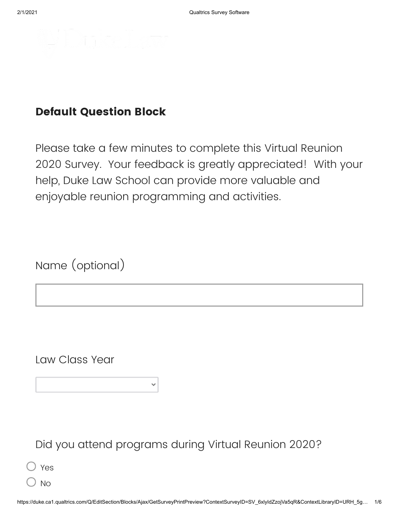

## **Default Question Block**

Please take a few minutes to complete this Virtual Reunion 2020 Survey. Your feedback is greatly appreciated! With your help, Duke Law School can provide more valuable and enjoyable reunion programming and activities.

Name (optional)

Law Class Year

Did you attend programs during Virtual Reunion 2020?

Yes

No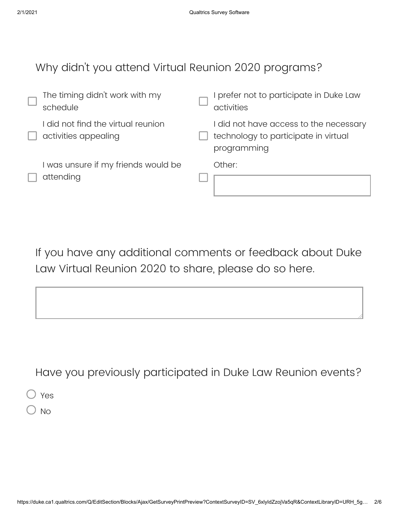## Why didn't you attend Virtual Reunion 2020 programs?

| The timing didn't work with my<br>schedule                 | prefer not to participate in Duke Law<br>activities                                           |
|------------------------------------------------------------|-----------------------------------------------------------------------------------------------|
| I did not find the virtual reunion<br>activities appealing | I did not have access to the necessary<br>technology to participate in virtual<br>programming |
| I was unsure if my friends would be<br>attending           | Other:                                                                                        |

If you have any additional comments or feedback about Duke Law Virtual Reunion 2020 to share, please do so here.

Have you previously participated in Duke Law Reunion events?

Yes

 $\sum$  No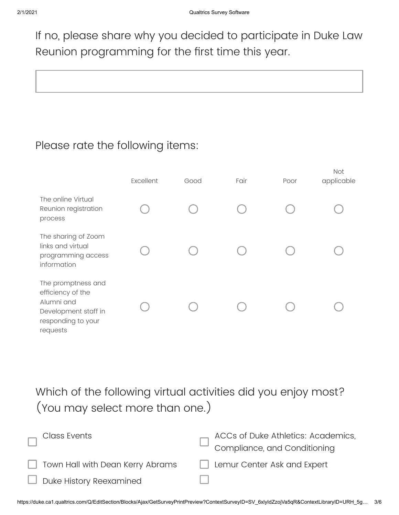If no, please share why you decided to participate in Duke Law Reunion programming for the first time this year.

## Please rate the following items:

|                                                                                                                 | Excellent | Good | Fair | Poor | <b>Not</b><br>applicable |
|-----------------------------------------------------------------------------------------------------------------|-----------|------|------|------|--------------------------|
| The online Virtual<br>Reunion registration<br>process                                                           |           |      |      |      |                          |
| The sharing of Zoom<br>links and virtual<br>programming access<br>information                                   |           |      |      |      |                          |
| The promptness and<br>efficiency of the<br>Alumni and<br>Development staff in<br>responding to your<br>requests |           |      |      |      |                          |

Which of the following virtual activities did you enjoy most? (You may select more than one.)

| <b>Class Events</b>                     | ACCs of Duke Athletics: Academics,<br>Compliance, and Conditioning |
|-----------------------------------------|--------------------------------------------------------------------|
| $\Box$ Town Hall with Dean Kerry Abrams | $\Box$ Lemur Center Ask and Expert                                 |
| $\Box$ Duke History Reexamined          |                                                                    |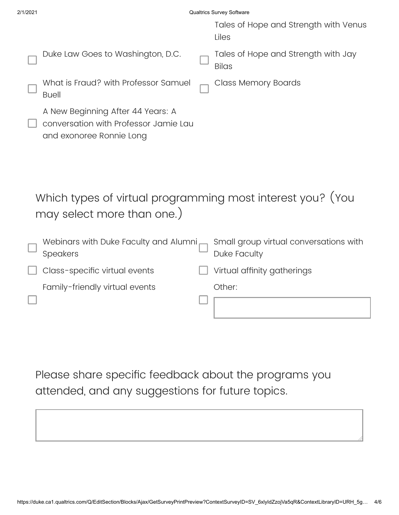| 2/1/2021                                                                                               | <b>Qualtrics Survey Software</b>                       |  |  |  |  |
|--------------------------------------------------------------------------------------------------------|--------------------------------------------------------|--|--|--|--|
|                                                                                                        | Tales of Hope and Strength with Venus<br>Liles         |  |  |  |  |
| Duke Law Goes to Washington, D.C.                                                                      | Tales of Hope and Strength with Jay<br><b>Bilas</b>    |  |  |  |  |
| What is Fraud? with Professor Samuel<br><b>Buell</b>                                                   | Class Memory Boards                                    |  |  |  |  |
| A New Beginning After 44 Years: A<br>conversation with Professor Jamie Lau<br>and exonoree Ronnie Long |                                                        |  |  |  |  |
| Which types of virtual programming most interest you? (You<br>may select more than one.)               |                                                        |  |  |  |  |
| Webinars with Duke Faculty and Alumni<br><b>Speakers</b>                                               | Small group virtual conversations with<br>Duke Faculty |  |  |  |  |
| Class-specific virtual events                                                                          | Virtual affinity gatherings                            |  |  |  |  |
| Family-friendly virtual events                                                                         | Other:                                                 |  |  |  |  |
|                                                                                                        |                                                        |  |  |  |  |
|                                                                                                        |                                                        |  |  |  |  |
|                                                                                                        |                                                        |  |  |  |  |

Please share specific feedback about the programs you attended, and any suggestions for future topics.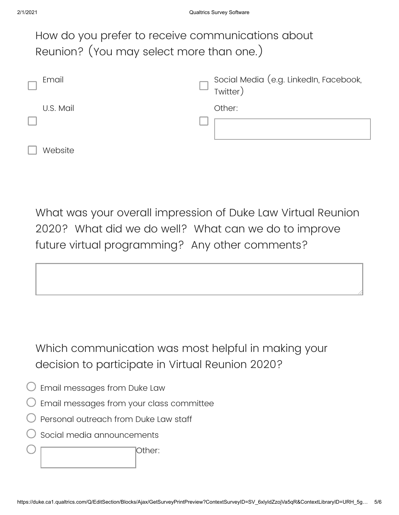| How do you prefer to receive communications about<br>Reunion? (You may select more than one.) |                                                    |  |  |  |  |
|-----------------------------------------------------------------------------------------------|----------------------------------------------------|--|--|--|--|
| Email                                                                                         | Social Media (e.g. LinkedIn, Facebook,<br>Twitter) |  |  |  |  |
| U.S. Mail                                                                                     | Other:                                             |  |  |  |  |
|                                                                                               |                                                    |  |  |  |  |
| Website                                                                                       |                                                    |  |  |  |  |

What was your overall impression of Duke Law Virtual Reunion 2020? What did we do well? What can we do to improve future virtual programming? Any other comments?



Which communication was most helpful in making your decision to participate in Virtual Reunion 2020?

- Email messages from Duke Law
- Email messages from your class committee
- Personal outreach from Duke Law staff
- Social media announcements

Other: